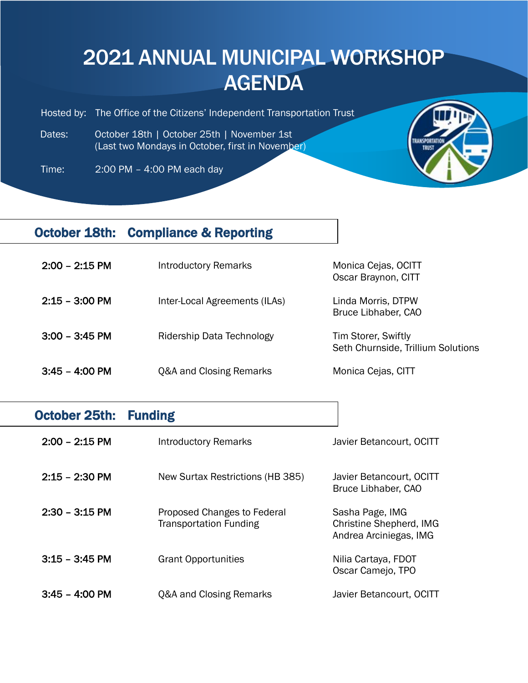## 2021 ANNUAL MUNICIPAL WORKSHOP **AGENDA**

Hosted by: The Office of the Citizens' Independent Transportation Trust

 Dates: October 18th | October 25th | November 1st (Last two Mondays in October, first in November)

Time: 2:00 PM – 4:00 PM each day

I



## October 18th: Compliance & Reporting

| $2:00 - 2:15$ PM         | <b>Introductory Remarks</b>   | Monica Cejas, OCITT<br>Oscar Braynon, CITT                |
|--------------------------|-------------------------------|-----------------------------------------------------------|
| $2:15 - 3:00 \text{ PM}$ | Inter-Local Agreements (ILAs) | Linda Morris, DTPW<br>Bruce Libhaber, CAO                 |
| $3:00 - 3:45$ PM         | Ridership Data Technology     | Tim Storer, Swiftly<br>Seth Churnside, Trillium Solutions |
| $3:45 - 4:00 \text{ PM}$ | Q&A and Closing Remarks       | Monica Cejas, CITT                                        |

| October 25th:            | <b>Funding</b>                                               |                                                                             |
|--------------------------|--------------------------------------------------------------|-----------------------------------------------------------------------------|
| $2:00 - 2:15 \text{ PM}$ | <b>Introductory Remarks</b>                                  | Javier Betancourt, OCITT                                                    |
| $2:15 - 2:30$ PM         | New Surtax Restrictions (HB 385)                             | Javier Betancourt, OCITT<br>Bruce Libhaber, CAO                             |
| $2:30 - 3:15 \text{ PM}$ | Proposed Changes to Federal<br><b>Transportation Funding</b> | Sasha Page, IMG<br><b>Christine Shepherd, IMG</b><br>Andrea Arciniegas, IMG |
| $3:15 - 3:45$ PM         | <b>Grant Opportunities</b>                                   | Nilia Cartaya, FDOT<br>Oscar Camejo, TPO                                    |
| $3:45 - 4:00 \text{ PM}$ | <b>Q&amp;A and Closing Remarks</b>                           | Javier Betancourt, OCITT                                                    |